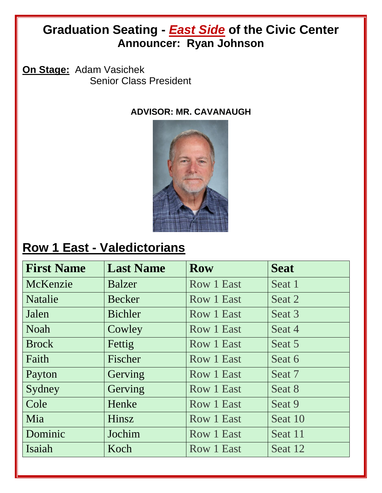#### **Graduation Seating -** *East Side* **of the Civic Center Announcer: Ryan Johnson**

**On Stage:** Adam Vasichek Senior Class President

**ADVISOR: MR. CAVANAUGH**



### **Row 1 East - Valedictorians**

| <b>First Name</b> | <b>Last Name</b> | <b>Row</b> | <b>Seat</b> |
|-------------------|------------------|------------|-------------|
| McKenzie          | <b>Balzer</b>    | Row 1 East | Seat 1      |
| <b>Natalie</b>    | Becker           | Row 1 East | Seat 2      |
| Jalen             | Bichler          | Row 1 East | Seat 3      |
| <b>Noah</b>       | Cowley           | Row 1 East | Seat 4      |
| <b>Brock</b>      | Fettig           | Row 1 East | Seat 5      |
| Faith             | Fischer          | Row 1 East | Seat 6      |
| Payton            | Gerving          | Row 1 East | Seat 7      |
| Sydney            | Gerving          | Row 1 East | Seat 8      |
| Cole              | Henke            | Row 1 East | Seat 9      |
| Mia               | Hinsz            | Row 1 East | Seat 10     |
| Dominic           | Jochim           | Row 1 East | Seat 11     |
| Isaiah            | Koch             | Row 1 East | Seat 12     |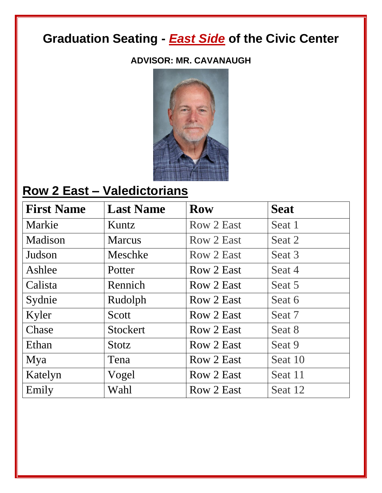#### **ADVISOR: MR. CAVANAUGH**



# **Row 2 East – Valedictorians**

| <b>First Name</b> | <b>Last Name</b> | <b>Row</b> | <b>Seat</b> |
|-------------------|------------------|------------|-------------|
| Markie            | Kuntz            | Row 2 East | Seat 1      |
| Madison           | <b>Marcus</b>    | Row 2 East | Seat 2      |
| Judson            | Meschke          | Row 2 East | Seat 3      |
| Ashlee            | Potter           | Row 2 East | Seat 4      |
| Calista           | Rennich          | Row 2 East | Seat 5      |
| Sydnie            | Rudolph          | Row 2 East | Seat 6      |
| Kyler             | Scott            | Row 2 East | Seat 7      |
| Chase             | <b>Stockert</b>  | Row 2 East | Seat 8      |
| Ethan             | Stotz            | Row 2 East | Seat 9      |
| Mya               | Tena             | Row 2 East | Seat 10     |
| Katelyn           | Vogel            | Row 2 East | Seat 11     |
| Emily             | Wahl             | Row 2 East | Seat 12     |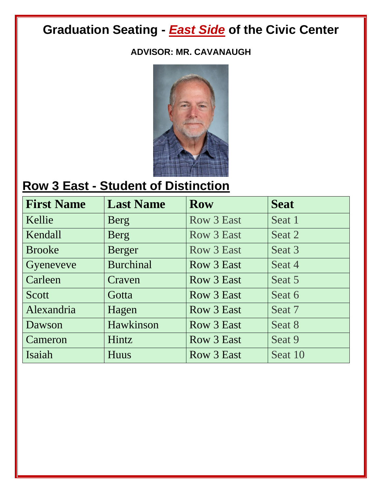#### **ADVISOR: MR. CAVANAUGH**



### **Row 3 East - Student of Distinction**

| <b>First Name</b> | <b>Last Name</b> | <b>Row</b> | <b>Seat</b> |
|-------------------|------------------|------------|-------------|
| Kellie            | Berg             | Row 3 East | Seat 1      |
| Kendall           | Berg             | Row 3 East | Seat 2      |
| <b>Brooke</b>     | <b>Berger</b>    | Row 3 East | Seat 3      |
| Gyeneveve         | <b>Burchinal</b> | Row 3 East | Seat 4      |
| Carleen           | Craven           | Row 3 East | Seat 5      |
| Scott             | Gotta            | Row 3 East | Seat 6      |
| Alexandria        | Hagen            | Row 3 East | Seat 7      |
| Dawson            | Hawkinson        | Row 3 East | Seat 8      |
| Cameron           | Hintz            | Row 3 East | Seat 9      |
| Isaiah            | Huus             | Row 3 East | Seat 10     |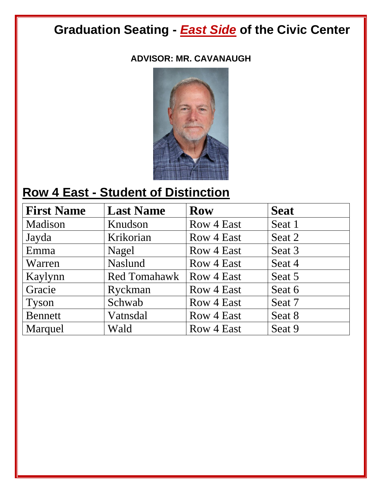#### **ADVISOR: MR. CAVANAUGH**



### **Row 4 East - Student of Distinction**

| <b>First Name</b> | <b>Last Name</b>    | <b>Row</b> | <b>Seat</b> |
|-------------------|---------------------|------------|-------------|
| Madison           | Knudson             | Row 4 East | Seat 1      |
| Jayda             | Krikorian           | Row 4 East | Seat 2      |
| Emma              | Nagel               | Row 4 East | Seat 3      |
| Warren            | <b>Naslund</b>      | Row 4 East | Seat 4      |
| Kaylynn           | <b>Red Tomahawk</b> | Row 4 East | Seat 5      |
| Gracie            | Ryckman             | Row 4 East | Seat 6      |
| <b>Tyson</b>      | Schwab              | Row 4 East | Seat 7      |
| <b>Bennett</b>    | Vatnsdal            | Row 4 East | Seat 8      |
| Marquel           | Wald                | Row 4 East | Seat 9      |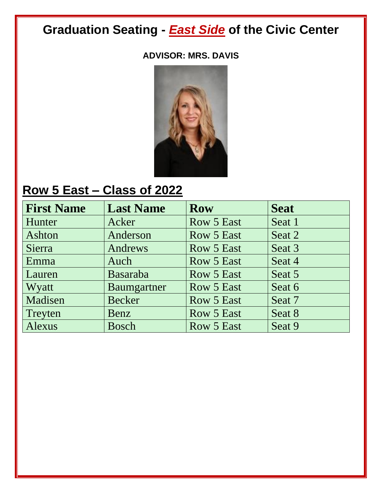#### **ADVISOR: MRS. DAVIS**



## **Row 5 East – Class of 2022**

| <b>First Name</b> | <b>Last Name</b> | <b>Row</b>        | <b>Seat</b> |
|-------------------|------------------|-------------------|-------------|
| Hunter            | Acker            | Row 5 East        | Seat 1      |
| Ashton            | Anderson         | <b>Row 5 East</b> | Seat 2      |
| Sierra            | Andrews          | Row 5 East        | Seat 3      |
| Emma              | Auch             | Row 5 East        | Seat 4      |
| Lauren            | Basaraba         | Row 5 East        | Seat 5      |
| Wyatt             | Baumgartner      | Row 5 East        | Seat 6      |
| Madisen           | <b>Becker</b>    | Row 5 East        | Seat 7      |
| Treyten           | Benz             | Row 5 East        | Seat 8      |
| Alexus            | <b>Bosch</b>     | <b>Row 5 East</b> | Seat 9      |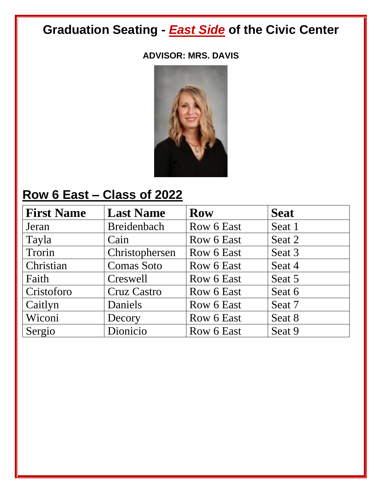#### **ADVISOR: MRS. DAVIS**



### **Row 6 East – Class of 2022**

| <b>First Name</b> | <b>Last Name</b>   | <b>Row</b> | <b>Seat</b> |
|-------------------|--------------------|------------|-------------|
| Jeran             | Breidenbach        | Row 6 East | Seat 1      |
| Tayla             | Cain               | Row 6 East | Seat 2      |
| Trorin            | Christophersen     | Row 6 East | Seat 3      |
| Christian         | <b>Comas Soto</b>  | Row 6 East | Seat 4      |
| Faith             | Creswell           | Row 6 East | Seat 5      |
| Cristoforo        | <b>Cruz Castro</b> | Row 6 East | Seat 6      |
| Caitlyn           | Daniels            | Row 6 East | Seat 7      |
| Wiconi            | Decory             | Row 6 East | Seat 8      |
| Sergio            | Dionicio           | Row 6 East | Seat 9      |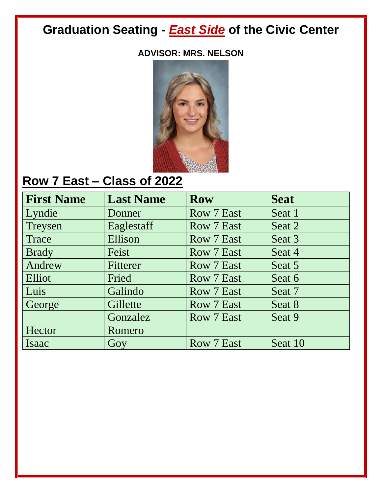#### **ADVISOR: MRS. NELSON**



## **Row 7 East – Class of 2022**

| <b>First Name</b> | <b>Last Name</b> | <b>Row</b>        | <b>Seat</b> |
|-------------------|------------------|-------------------|-------------|
| Lyndie            | Donner           | <b>Row 7 East</b> | Seat 1      |
| Treysen           | Eaglestaff       | <b>Row 7 East</b> | Seat 2      |
| Trace             | Ellison          | Row 7 East        | Seat 3      |
| <b>Brady</b>      | Feist            | Row 7 East        | Seat 4      |
| Andrew            | Fitterer         | <b>Row 7 East</b> | Seat 5      |
| Elliot            | Fried            | Row 7 East        | Seat 6      |
| Luis              | Galindo          | Row 7 East        | Seat 7      |
| George            | Gillette         | Row 7 East        | Seat 8      |
|                   | Gonzalez         | Row 7 East        | Seat 9      |
| Hector            | Romero           |                   |             |
| Isaac             | Goy              | Row 7 East        | Seat 10     |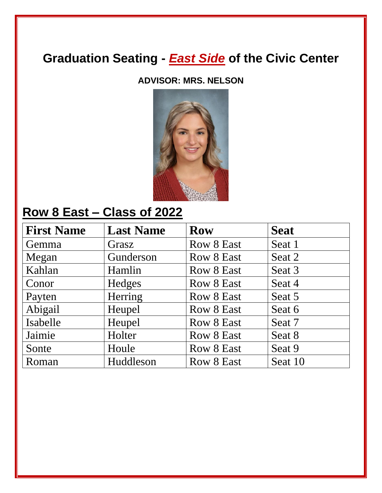#### **ADVISOR: MRS. NELSON**



#### **Row 8 East – Class of 2022**

| <b>First Name</b> | <b>Last Name</b> | <b>Row</b> | <b>Seat</b> |
|-------------------|------------------|------------|-------------|
| Gemma             | Grasz            | Row 8 East | Seat 1      |
| Megan             | Gunderson        | Row 8 East | Seat 2      |
| Kahlan            | Hamlin           | Row 8 East | Seat 3      |
| Conor             | Hedges           | Row 8 East | Seat 4      |
| Payten            | Herring          | Row 8 East | Seat 5      |
| Abigail           | Heupel           | Row 8 East | Seat 6      |
| Isabelle          | Heupel           | Row 8 East | Seat 7      |
| Jaimie            | Holter           | Row 8 East | Seat 8      |
| Sonte             | Houle            | Row 8 East | Seat 9      |
| Roman             | Huddleson        | Row 8 East | Seat 10     |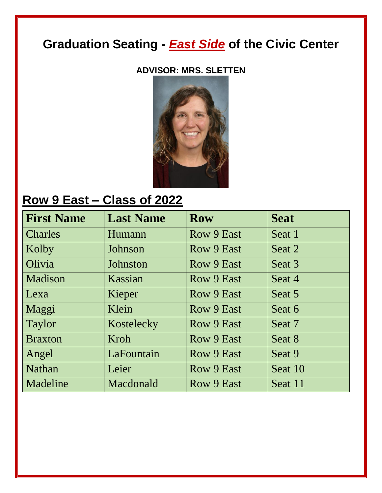#### **ADVISOR: MRS. SLETTEN**



#### **Row 9 East – Class of 2022**

| <b>First Name</b> | <b>Last Name</b> | <b>Row</b> | <b>Seat</b> |
|-------------------|------------------|------------|-------------|
| <b>Charles</b>    | Humann           | Row 9 East | Seat 1      |
| Kolby             | Johnson          | Row 9 East | Seat 2      |
| Olivia            | Johnston         | Row 9 East | Seat 3      |
| Madison           | Kassian          | Row 9 East | Seat 4      |
| Lexa              | Kieper           | Row 9 East | Seat 5      |
| Maggi             | Klein            | Row 9 East | Seat 6      |
| Taylor            | Kostelecky       | Row 9 East | Seat 7      |
| <b>Braxton</b>    | Kroh             | Row 9 East | Seat 8      |
| Angel             | LaFountain       | Row 9 East | Seat 9      |
| <b>Nathan</b>     | Leier            | Row 9 East | Seat 10     |
| Madeline          | Macdonald        | Row 9 East | Seat 11     |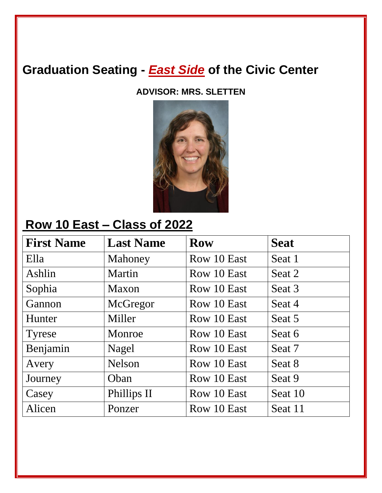**ADVISOR: MRS. SLETTEN**



#### **Row 10 East – Class of 2022**

| <b>First Name</b> | <b>Last Name</b> | <b>Row</b>  | <b>Seat</b> |
|-------------------|------------------|-------------|-------------|
| Ella              | Mahoney          | Row 10 East | Seat 1      |
| Ashlin            | Martin           | Row 10 East | Seat 2      |
| Sophia            | Maxon            | Row 10 East | Seat 3      |
| Gannon            | McGregor         | Row 10 East | Seat 4      |
| Hunter            | Miller           | Row 10 East | Seat 5      |
| <b>Tyrese</b>     | Monroe           | Row 10 East | Seat 6      |
| Benjamin          | Nagel            | Row 10 East | Seat 7      |
| Avery             | <b>Nelson</b>    | Row 10 East | Seat 8      |
| Journey           | Oban             | Row 10 East | Seat 9      |
| Casey             | Phillips II      | Row 10 East | Seat 10     |
| Alicen            | Ponzer           | Row 10 East | Seat 11     |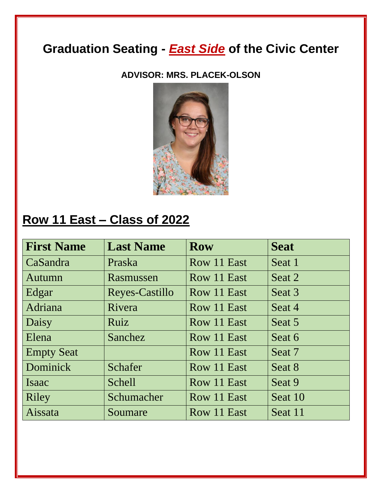**ADVISOR: MRS. PLACEK-OLSON**



### **Row 11 East – Class of 2022**

| <b>First Name</b> | <b>Last Name</b> | <b>Row</b>  | <b>Seat</b> |
|-------------------|------------------|-------------|-------------|
| CaSandra          | Praska           | Row 11 East | Seat 1      |
| Autumn            | Rasmussen        | Row 11 East | Seat 2      |
| Edgar             | Reyes-Castillo   | Row 11 East | Seat 3      |
| Adriana           | Rivera           | Row 11 East | Seat 4      |
| Daisy             | <b>Ruiz</b>      | Row 11 East | Seat 5      |
| Elena             | Sanchez          | Row 11 East | Seat 6      |
| <b>Empty Seat</b> |                  | Row 11 East | Seat 7      |
| Dominick          | Schafer          | Row 11 East | Seat 8      |
| Isaac             | <b>Schell</b>    | Row 11 East | Seat 9      |
| Riley             | Schumacher       | Row 11 East | Seat 10     |
| Aissata           | Soumare          | Row 11 East | Seat 11     |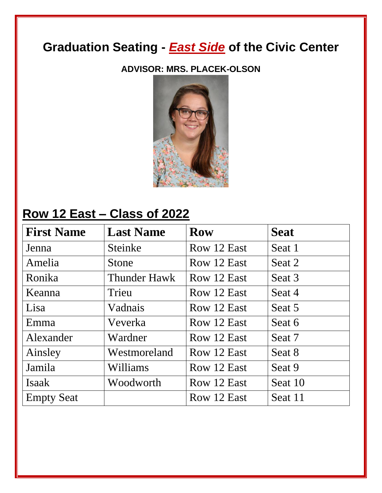#### **ADVISOR: MRS. PLACEK-OLSON**



### **Row 12 East – Class of 2022**

| <b>First Name</b> | <b>Last Name</b>    | <b>Row</b>  | <b>Seat</b> |
|-------------------|---------------------|-------------|-------------|
| Jenna             | Steinke             | Row 12 East | Seat 1      |
| Amelia            | Stone               | Row 12 East | Seat 2      |
| Ronika            | <b>Thunder Hawk</b> | Row 12 East | Seat 3      |
| Keanna            | Trieu               | Row 12 East | Seat 4      |
| Lisa              | Vadnais             | Row 12 East | Seat 5      |
| Emma              | Veverka             | Row 12 East | Seat 6      |
| Alexander         | Wardner             | Row 12 East | Seat 7      |
| Ainsley           | Westmoreland        | Row 12 East | Seat 8      |
| Jamila            | Williams            | Row 12 East | Seat 9      |
| Isaak             | Woodworth           | Row 12 East | Seat 10     |
| <b>Empty Seat</b> |                     | Row 12 East | Seat 11     |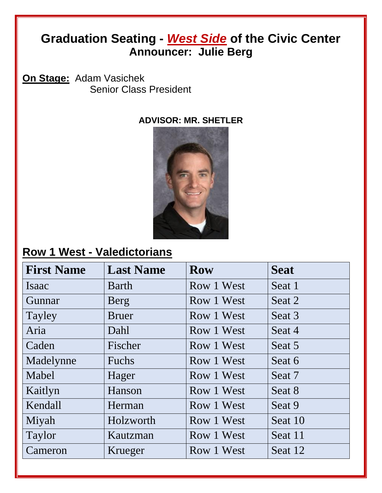#### **Graduation Seating -** *West Side* **of the Civic Center Announcer: Julie Berg**

**On Stage:** Adam Vasichek Senior Class President

#### **ADVISOR: MR. SHETLER**



#### **Row 1 West - Valedictorians**

| <b>First Name</b> | <b>Last Name</b> | <b>Row</b> | <b>Seat</b> |
|-------------------|------------------|------------|-------------|
| Isaac             | <b>Barth</b>     | Row 1 West | Seat 1      |
| Gunnar            | Berg             | Row 1 West | Seat 2      |
| Tayley            | <b>Bruer</b>     | Row 1 West | Seat 3      |
| Aria              | Dahl             | Row 1 West | Seat 4      |
| Caden             | Fischer          | Row 1 West | Seat 5      |
| Madelynne         | Fuchs            | Row 1 West | Seat 6      |
| Mabel             | Hager            | Row 1 West | Seat 7      |
| Kaitlyn           | Hanson           | Row 1 West | Seat 8      |
| Kendall           | Herman           | Row 1 West | Seat 9      |
| Miyah             | Holzworth        | Row 1 West | Seat 10     |
| Taylor            | Kautzman         | Row 1 West | Seat 11     |
| Cameron           | Krueger          | Row 1 West | Seat 12     |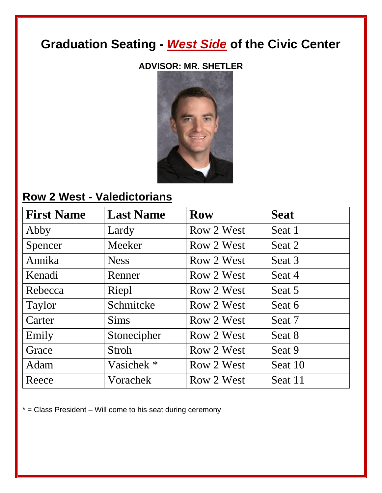#### **ADVISOR: MR. SHETLER**



#### **Row 2 West - Valedictorians**

| <b>First Name</b> | <b>Last Name</b>      | <b>Row</b> | <b>Seat</b> |
|-------------------|-----------------------|------------|-------------|
| Abby              | Lardy                 | Row 2 West | Seat 1      |
| Spencer           | Meeker                | Row 2 West | Seat 2      |
| Annika            | <b>Ness</b>           | Row 2 West | Seat 3      |
| Kenadi            | Renner                | Row 2 West | Seat 4      |
| Rebecca           | Riepl                 | Row 2 West | Seat 5      |
| Taylor            | Schmitcke             | Row 2 West | Seat 6      |
| Carter            | <b>Sims</b>           | Row 2 West | Seat 7      |
| Emily             | Stonecipher           | Row 2 West | Seat 8      |
| Grace             | Stroh                 | Row 2 West | Seat 9      |
| Adam              | Vasichek <sup>*</sup> | Row 2 West | Seat 10     |
| Reece             | Vorachek              | Row 2 West | Seat 11     |

 $*$  = Class President – Will come to his seat during ceremony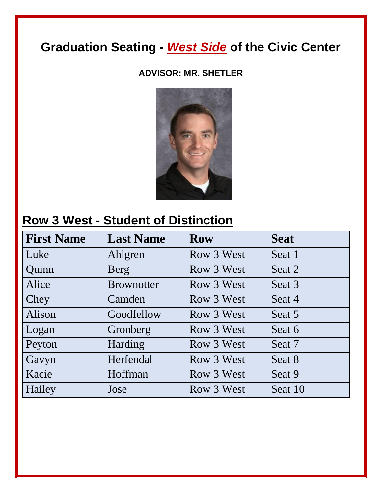#### **ADVISOR: MR. SHETLER**



#### **Row 3 West - Student of Distinction**

| <b>First Name</b> | <b>Last Name</b>  | <b>Row</b> | <b>Seat</b> |
|-------------------|-------------------|------------|-------------|
| Luke              | Ahlgren           | Row 3 West | Seat 1      |
| Quinn             | Berg              | Row 3 West | Seat 2      |
| Alice             | <b>Brownotter</b> | Row 3 West | Seat 3      |
| Chey              | Camden            | Row 3 West | Seat 4      |
| Alison            | Goodfellow        | Row 3 West | Seat 5      |
| Logan             | Gronberg          | Row 3 West | Seat 6      |
| Peyton            | Harding           | Row 3 West | Seat 7      |
| Gavyn             | Herfendal         | Row 3 West | Seat 8      |
| Kacie             | Hoffman           | Row 3 West | Seat 9      |
| Hailey            | Jose              | Row 3 West | Seat 10     |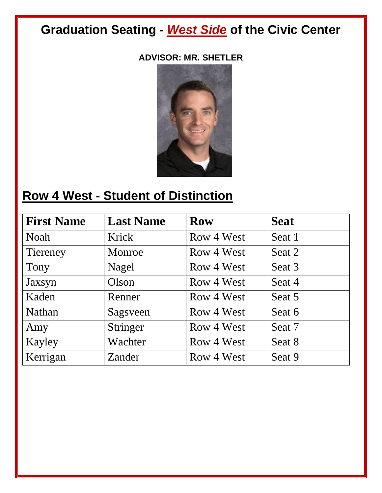#### **ADVISOR: MR. SHETLER**



## **Row 4 West - Student of Distinction**

| <b>First Name</b> | <b>Last Name</b> | <b>Row</b> | <b>Seat</b> |
|-------------------|------------------|------------|-------------|
| Noah              | Krick            | Row 4 West | Seat 1      |
| Tiereney          | Monroe           | Row 4 West | Seat 2      |
| Tony              | Nagel            | Row 4 West | Seat 3      |
| Jaxsyn            | Olson            | Row 4 West | Seat 4      |
| Kaden             | Renner           | Row 4 West | Seat 5      |
| Nathan            | Sagsveen         | Row 4 West | Seat 6      |
| Amy               | Stringer         | Row 4 West | Seat 7      |
| Kayley            | Wachter          | Row 4 West | Seat 8      |
| Kerrigan          | Zander           | Row 4 West | Seat 9      |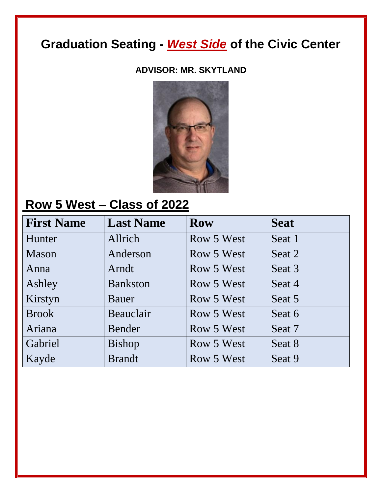#### **ADVISOR: MR. SKYTLAND**



# **Row 5 West – Class of 2022**

| <b>First Name</b> | <b>Last Name</b> | <b>Row</b> | <b>Seat</b> |
|-------------------|------------------|------------|-------------|
| Hunter            | Allrich          | Row 5 West | Seat 1      |
| Mason             | Anderson         | Row 5 West | Seat 2      |
| Anna              | Arndt            | Row 5 West | Seat 3      |
| Ashley            | <b>Bankston</b>  | Row 5 West | Seat 4      |
| Kirstyn           | Bauer            | Row 5 West | Seat 5      |
| <b>Brook</b>      | Beauclair        | Row 5 West | Seat 6      |
| Ariana            | Bender           | Row 5 West | Seat 7      |
| Gabriel           | <b>Bishop</b>    | Row 5 West | Seat 8      |
| Kayde             | <b>Brandt</b>    | Row 5 West | Seat 9      |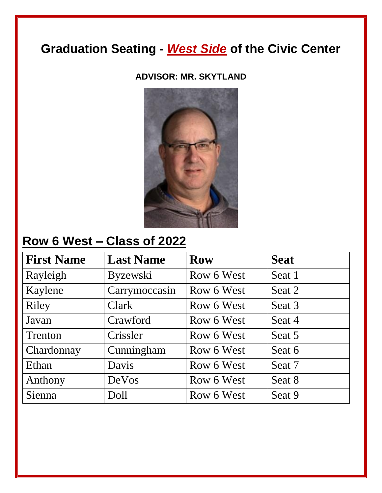**ADVISOR: MR. SKYTLAND**



## **Row 6 West – Class of 2022**

| <b>First Name</b> | <b>Last Name</b> | <b>Row</b> | <b>Seat</b> |
|-------------------|------------------|------------|-------------|
| Rayleigh          | <b>Byzewski</b>  | Row 6 West | Seat 1      |
| Kaylene           | Carrymoccasin    | Row 6 West | Seat 2      |
| Riley             | Clark            | Row 6 West | Seat 3      |
| Javan             | Crawford         | Row 6 West | Seat 4      |
| Trenton           | Crissler         | Row 6 West | Seat 5      |
| Chardonnay        | Cunningham       | Row 6 West | Seat 6      |
| Ethan             | Davis            | Row 6 West | Seat 7      |
| Anthony           | DeVos            | Row 6 West | Seat 8      |
| Sienna            | Doll             | Row 6 West | Seat 9      |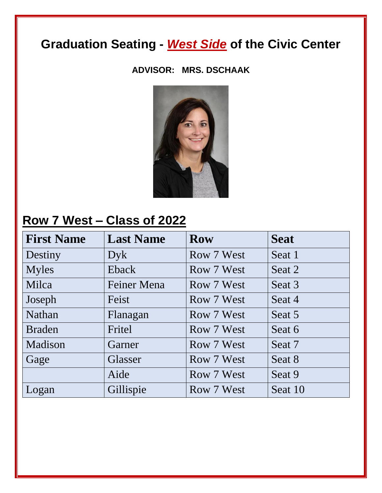#### **ADVISOR: MRS. DSCHAAK**



#### **Row 7 West – Class of 2022**

| <b>First Name</b> | <b>Last Name</b> | <b>Row</b> | <b>Seat</b> |
|-------------------|------------------|------------|-------------|
| Destiny           | Dyk              | Row 7 West | Seat 1      |
| <b>Myles</b>      | Eback            | Row 7 West | Seat 2      |
| Milca             | Feiner Mena      | Row 7 West | Seat 3      |
| Joseph            | Feist            | Row 7 West | Seat 4      |
| <b>Nathan</b>     | Flanagan         | Row 7 West | Seat 5      |
| <b>Braden</b>     | Fritel           | Row 7 West | Seat 6      |
| Madison           | Garner           | Row 7 West | Seat 7      |
| Gage              | Glasser          | Row 7 West | Seat 8      |
|                   | Aide             | Row 7 West | Seat 9      |
| Logan             | Gillispie        | Row 7 West | Seat 10     |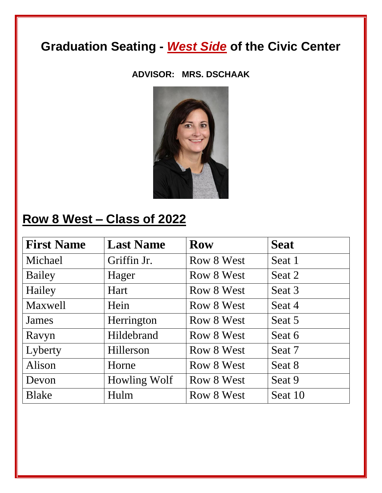#### **ADVISOR: MRS. DSCHAAK**



## **Row 8 West – Class of 2022**

| <b>First Name</b> | <b>Last Name</b> | <b>Row</b> | <b>Seat</b> |
|-------------------|------------------|------------|-------------|
| Michael           | Griffin Jr.      | Row 8 West | Seat 1      |
| Bailey            | Hager            | Row 8 West | Seat 2      |
| Hailey            | Hart             | Row 8 West | Seat 3      |
| <b>Maxwell</b>    | Hein             | Row 8 West | Seat 4      |
| James             | Herrington       | Row 8 West | Seat 5      |
| Ravyn             | Hildebrand       | Row 8 West | Seat 6      |
| Lyberty           | Hillerson        | Row 8 West | Seat 7      |
| Alison            | Horne            | Row 8 West | Seat 8      |
| Devon             | Howling Wolf     | Row 8 West | Seat 9      |
| <b>Blake</b>      | Hulm             | Row 8 West | Seat 10     |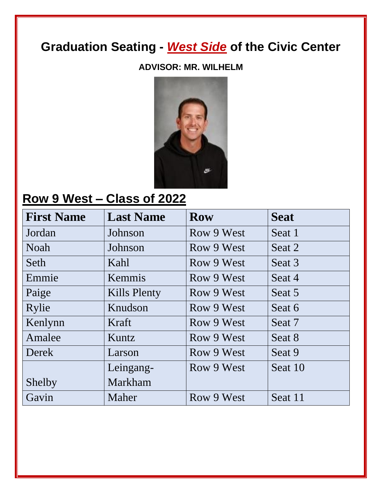#### **ADVISOR: MR. WILHELM**



#### **Row 9 West – Class of 2022**

| <b>First Name</b> | <b>Last Name</b>    | <b>Row</b> | <b>Seat</b> |
|-------------------|---------------------|------------|-------------|
| Jordan            | Johnson             | Row 9 West | Seat 1      |
| <b>Noah</b>       | Johnson             | Row 9 West | Seat 2      |
| Seth              | Kahl                | Row 9 West | Seat 3      |
| Emmie             | Kemmis              | Row 9 West | Seat 4      |
| Paige             | <b>Kills Plenty</b> | Row 9 West | Seat 5      |
| Rylie             | Knudson             | Row 9 West | Seat 6      |
| Kenlynn           | Kraft               | Row 9 West | Seat 7      |
| Amalee            | Kuntz               | Row 9 West | Seat 8      |
| Derek             | Larson              | Row 9 West | Seat 9      |
|                   | Leingang-           | Row 9 West | Seat 10     |
| Shelby            | Markham             |            |             |
| Gavin             | Maher               | Row 9 West | Seat 11     |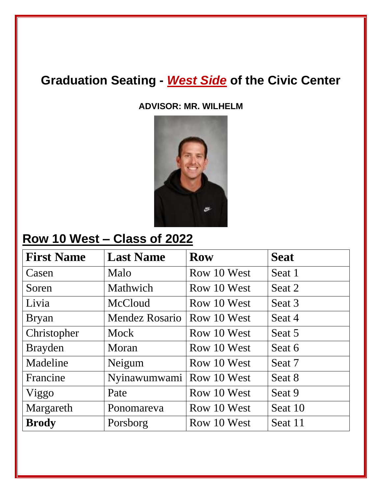**ADVISOR: MR. WILHELM**



### **Row 10 West – Class of 2022**

| <b>First Name</b> | <b>Last Name</b>           | <b>Row</b>  | <b>Seat</b> |
|-------------------|----------------------------|-------------|-------------|
| Casen             | Malo                       | Row 10 West | Seat 1      |
| Soren             | Mathwich                   | Row 10 West | Seat 2      |
| Livia             | McCloud                    | Row 10 West | Seat 3      |
| <b>Bryan</b>      | Mendez Rosario             | Row 10 West | Seat 4      |
| Christopher       | Mock                       | Row 10 West | Seat 5      |
| <b>Brayden</b>    | Moran                      | Row 10 West | Seat 6      |
| Madeline          | Neigum                     | Row 10 West | Seat 7      |
| Francine          | Nyinawumwami   Row 10 West |             | Seat 8      |
| Viggo             | Pate                       | Row 10 West | Seat 9      |
| Margareth         | Ponomareva                 | Row 10 West | Seat 10     |
| <b>Brody</b>      | Porsborg                   | Row 10 West | Seat 11     |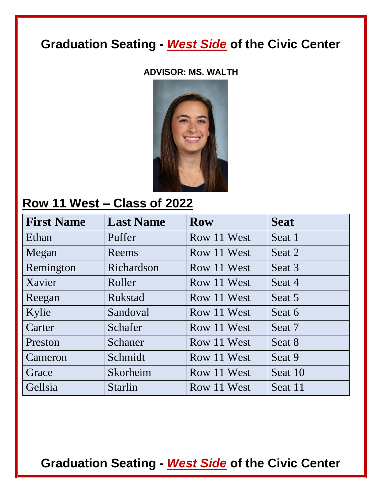#### **ADVISOR: MS. WALTH**



#### **Row 11 West – Class of 2022**

| <b>First Name</b> | <b>Last Name</b> | <b>Row</b>  | <b>Seat</b> |
|-------------------|------------------|-------------|-------------|
| Ethan             | Puffer           | Row 11 West | Seat 1      |
| Megan             | Reems            | Row 11 West | Seat 2      |
| Remington         | Richardson       | Row 11 West | Seat 3      |
| Xavier            | Roller           | Row 11 West | Seat 4      |
| Reegan            | <b>Rukstad</b>   | Row 11 West | Seat 5      |
| Kylie             | Sandoval         | Row 11 West | Seat 6      |
| Carter            | Schafer          | Row 11 West | Seat 7      |
| Preston           | Schaner          | Row 11 West | Seat 8      |
| Cameron           | Schmidt          | Row 11 West | Seat 9      |
| Grace             | Skorheim         | Row 11 West | Seat 10     |
| Gellsia           | <b>Starlin</b>   | Row 11 West | Seat 11     |

**Graduation Seating -** *West Side* **of the Civic Center**